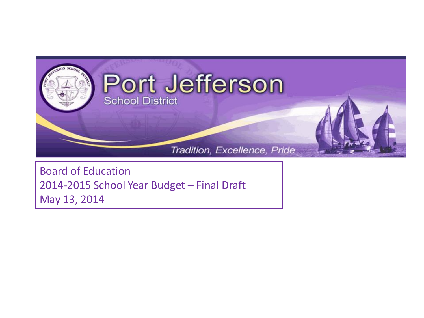

Board of Education 2014-2015 School Year Budget – Final Draft May 13, 2014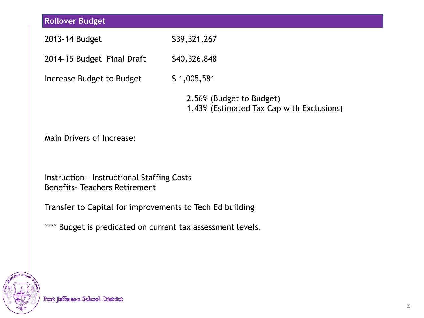| <b>Rollover Budget</b>                                                                    |                                                                       |  |  |  |  |
|-------------------------------------------------------------------------------------------|-----------------------------------------------------------------------|--|--|--|--|
| 2013-14 Budget                                                                            | \$39,321,267                                                          |  |  |  |  |
| 2014-15 Budget Final Draft                                                                | \$40,326,848                                                          |  |  |  |  |
| Increase Budget to Budget                                                                 | \$1,005,581                                                           |  |  |  |  |
|                                                                                           | 2.56% (Budget to Budget)<br>1.43% (Estimated Tax Cap with Exclusions) |  |  |  |  |
| Main Drivers of Increase:                                                                 |                                                                       |  |  |  |  |
| <b>Instruction - Instructional Staffing Costs</b><br><b>Benefits- Teachers Retirement</b> |                                                                       |  |  |  |  |
| Transfer to Capital for improvements to Tech Ed building                                  |                                                                       |  |  |  |  |
| **** Budget is predicated on current tax assessment levels.                               |                                                                       |  |  |  |  |

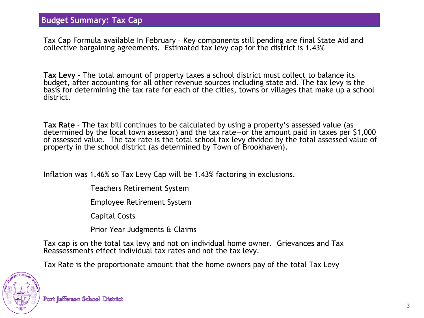Tax Cap Formula available In February – Key components still pending are final State Aid and collective bargaining agreements. Estimated tax levy cap for the district is 1.43%

**Tax Levy** - The total amount of property taxes a school district must collect to balance its budget, after accounting for all other revenue sources including state aid. The tax levy is the basis for determining the tax rate for each of the cities, towns or villages that make up a school district.

**Tax Rate** – The tax bill continues to be calculated by using a property's assessed value (as determined by the local town assessor) and the tax rate—or the amount paid in taxes per \$1,000 of assessed value. The tax rate is the total school tax levy divided by the total assessed value of property in the school district (as determined by Town of Brookhaven).

Inflation was 1.46% so Tax Levy Cap will be 1.43% factoring in exclusions.

Teachers Retirement System

Employee Retirement System

Capital Costs

Prior Year Judgments & Claims

Tax cap is on the total tax levy and not on individual home owner. Grievances and Tax Reassessments effect individual tax rates and not the tax levy.

Tax Rate is the proportionate amount that the home owners pay of the total Tax Levy

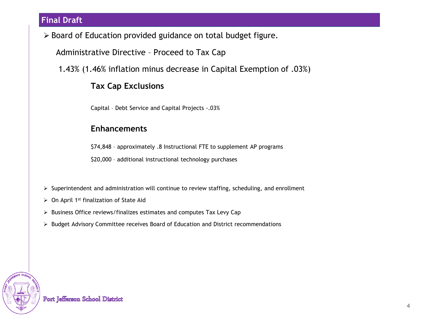## **Final Draft**

Board of Education provided guidance on total budget figure.

Administrative Directive – Proceed to Tax Cap

1.43% (1.46% inflation minus decrease in Capital Exemption of .03%)

## **Tax Cap Exclusions**

Capital – Debt Service and Capital Projects -.03%

### **Enhancements**

\$74,848 – approximately .8 Instructional FTE to supplement AP programs

\$20,000 – additional instructional technology purchases

 $\triangleright$  Superintendent and administration will continue to review staffing, scheduling, and enrollment

- $\triangleright$  On April 1<sup>st</sup> finalization of State Aid
- $\triangleright$  Business Office reviews/finalizes estimates and computes Tax Levy Cap
- $\triangleright$  Budget Advisory Committee receives Board of Education and District recommendations

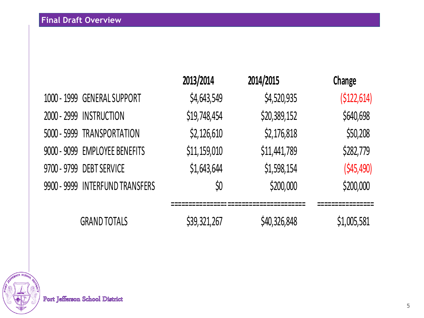|                                 | 2013/2014    | 2014/2015    | Change      |
|---------------------------------|--------------|--------------|-------------|
| 1000 - 1999 GENERAL SUPPORT     | \$4,643,549  | \$4,520,935  | (5122, 614) |
| 2000 - 2999 INSTRUCTION         | \$19,748,454 | \$20,389,152 | \$640,698   |
| 5000 - 5999 TRANSPORTATION      | \$2,126,610  | \$2,176,818  | \$50,208    |
| 9000 - 9099 EMPLOYEE BENEFITS   | \$11,159,010 | \$11,441,789 | \$282,779   |
| 9700 - 9799 DEBT SERVICE        | \$1,643,644  | \$1,598,154  | (545, 490)  |
| 9900 - 9999 INTERFUND TRANSFERS | \$0          | \$200,000    | \$200,000   |
| <b>GRAND TOTALS</b>             | \$39,321,267 | \$40,326,848 | \$1,005,581 |

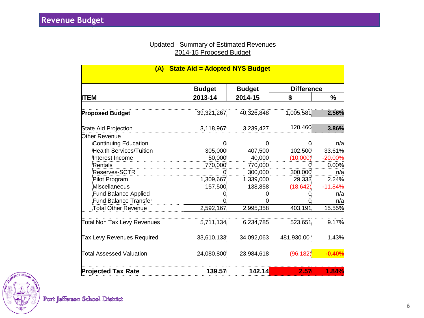### Updated - Summary of Estimated Revenues 2014-15 Proposed Budget

| <b>State Aid = Adopted NYS Budget</b><br>(A) |               |               |                   |           |  |
|----------------------------------------------|---------------|---------------|-------------------|-----------|--|
|                                              | <b>Budget</b> | <b>Budget</b> | <b>Difference</b> |           |  |
| ITEM                                         | 2013-14       | 2014-15       | S                 | %         |  |
| <b>Proposed Budget</b>                       | 39,321,267    | 40,326,848    | 1,005,581         | 2.56%     |  |
| State Aid Projection                         | 3,118,967     | 3,239,427     | 120,460           | 3.86%     |  |
| Other Revenue                                |               |               |                   |           |  |
| <b>Continuing Education</b>                  | 0             | 0             | 0                 | n/a       |  |
| <b>Health Services/Tuition</b>               | 305,000       | 407,500       | 102,500           | 33.61%    |  |
| Interest Income                              | 50,000        | 40,000        | (10,000)          | $-20.00%$ |  |
| Rentals                                      | 770,000       | 770,000       | 0                 | 0.00%     |  |
| Reserves-SCTR                                | 0             | 300,000       | 300,000           | n/a       |  |
| Pilot Program                                | 1,309,667     | 1,339,000     | 29,333            | 2.24%     |  |
| Miscellaneous                                | 157,500       | 138,858       | (18, 642)         | $-11.84%$ |  |
| <b>Fund Balance Applied</b>                  | 0             | 0             | 0                 | n/a       |  |
| <b>Fund Balance Transfer</b>                 |               |               |                   | n/a       |  |
| Total Other Revenue                          | 2,592,167     | 2,995,358     | 403,191           | 15.55%    |  |
| <b>Total Non Tax Levy Revenues</b>           | 5,711,134     | 6,234,785     | 523,651           | 9.17%     |  |
| Tax Levy Revenues Required                   | 33,610,133    | 34,092,063    | 481,930.00        | 1.43%     |  |
| <b>Total Assessed Valuation</b>              | 24,080,800    | 23,984,618    | (96, 182)         | $-0.40%$  |  |
| <b>Projected Tax Rate</b>                    | 139.57        | 142.14        | 2.57              | 1.84%     |  |

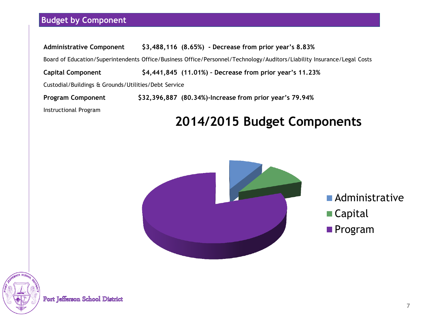## **Budget by Component**

| <b>Administrative Component</b>                                                                                         | \$3,488,116 (8.65%) - Decrease from prior year's 8.83%   |  |  |  |
|-------------------------------------------------------------------------------------------------------------------------|----------------------------------------------------------|--|--|--|
| Board of Education/Superintendents Office/Business Office/Personnel/Technology/Auditors/Liability Insurance/Legal Costs |                                                          |  |  |  |
| <b>Capital Component</b>                                                                                                | \$4,441,845 (11.01%) - Decrease from prior year's 11.23% |  |  |  |
| Custodial/Buildings & Grounds/Utilities/Debt Service                                                                    |                                                          |  |  |  |
| <b>Program Component</b>                                                                                                | \$32,396,887 (80.34%)-Increase from prior year's 79.94%  |  |  |  |
| Instructional Program                                                                                                   |                                                          |  |  |  |

## **2014/2015 Budget Components**



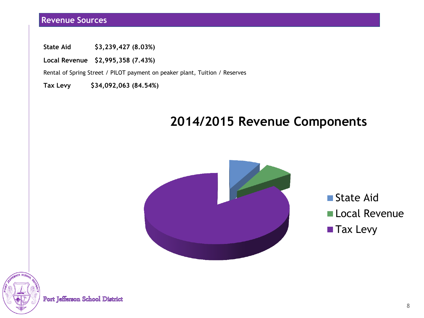## **Revenue Sources**

**State Aid \$3,239,427 (8.03%)**

**Local Revenue \$2,995,358 (7.43%)**

Rental of Spring Street / PILOT payment on peaker plant, Tuition / Reserves

**Tax Levy \$34,092,063 (84.54%)**

# **2014/2015 Revenue Components**



State Aid **Local Revenue Tax Levy** 

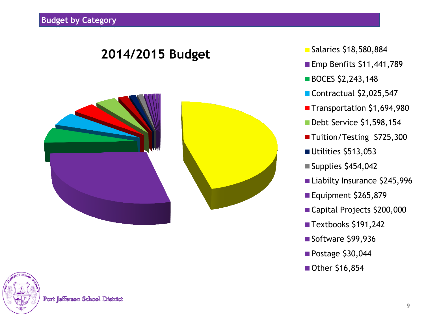

- Emp Benfits  $$11,441,789$
- **BOCES \$2,243,148**
- Contractual \$2,025,547
- Transportation \$1,694,980
- Debt Service \$1,598,154
- ■Tuition/Testing \$725,300
- Utilities \$513,053
- $\blacksquare$  Supplies \$454,042
- Liabilty Insurance \$245,996
- Equipment \$265,879
- Capital Projects \$200,000
- Textbooks \$191,242
- Software \$99,936
- Postage \$30,044
- Other \$16,854

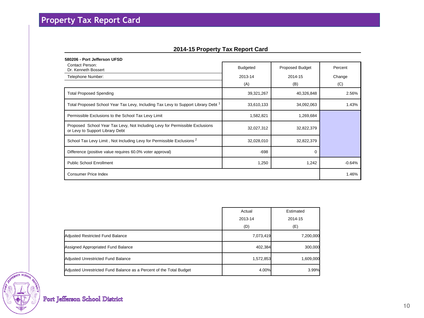### **2014-15 Property Tax Report Card**

| 580206 - Port Jefferson UFSD                                                                                    |                 |                 |          |  |
|-----------------------------------------------------------------------------------------------------------------|-----------------|-----------------|----------|--|
| <b>Contact Person:</b><br>Dr. Kenneth Bossert                                                                   | <b>Budgeted</b> | Proposed Budget | Percent  |  |
| Telephone Number:                                                                                               | 2013-14         | 2014-15         | Change   |  |
|                                                                                                                 | (A)             | (B)             | (C)      |  |
| <b>Total Proposed Spending</b>                                                                                  | 39,321,267      | 40,326,848      | 2.56%    |  |
| Total Proposed School Year Tax Levy, Including Tax Levy to Support Library Debt <sup>1</sup>                    | 33,610,133      | 34,092,063      | 1.43%    |  |
| Permissible Exclusions to the School Tax Levy Limit                                                             | 1,582,821       | 1,269,684       |          |  |
| Proposed School Year Tax Levy, Not Including Levy for Permissible Exclusions<br>or Levy to Support Library Debt | 32,027,312      | 32,822,379      |          |  |
| School Tax Levy Limit, Not Including Levy for Permissible Exclusions <sup>2</sup>                               | 32,028,010      | 32,822,379      |          |  |
| Difference (positive value requires 60.0% voter approval)                                                       | $-698$          | $\Omega$        |          |  |
| <b>Public School Enrollment</b>                                                                                 | 1,250           | 1,242           | $-0.64%$ |  |
| Consumer Price Index                                                                                            |                 |                 | 1.46%    |  |

|                                                                     | Actual    | Estimated |
|---------------------------------------------------------------------|-----------|-----------|
|                                                                     | 2013-14   | 2014-15   |
|                                                                     | (D)       | (E)       |
| Adjusted Restricted Fund Balance                                    | 7,073,419 | 7,200,000 |
| Assigned Appropriated Fund Balance                                  | 402,384   | 300,000   |
| Adjusted Unrestricted Fund Balance                                  | 1,572,853 | 1,609,000 |
| Adjusted Unrestricted Fund Balance as a Percent of the Total Budget | 4.00%     | 3.99%     |

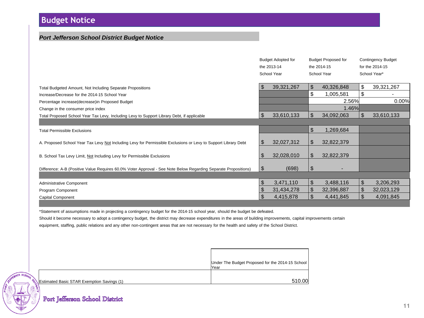## **Budget Notice**

#### *Port Jefferson School District Budget Notice*

|                                                                                                                                  |      | <b>Budget Adopted for</b><br>the 2013-14<br>School Year |          | <b>Budget Proposed for</b><br>the 2014-15<br>School Year |          | <b>Contingency Budget</b><br>for the 2014-15<br>School Year* |
|----------------------------------------------------------------------------------------------------------------------------------|------|---------------------------------------------------------|----------|----------------------------------------------------------|----------|--------------------------------------------------------------|
| Total Budgeted Amount, Not Including Separate Propositions<br>Increase/Decrease for the 2014-15 School Year                      | \$   | 39,321,267                                              | \$<br>\$ | 40,326,848<br>1,005,581                                  | \$<br>\$ | 39,321,267                                                   |
| Percentage increase(decrease) in Proposed Budget                                                                                 |      |                                                         |          | 2.56%                                                    |          | 0.00%                                                        |
| Change in the consumer price index<br>Total Proposed School Year Tax Levy, Including Levy to Support Library Debt, if applicable | \$   | 33,610,133                                              | \$       | 1.46%<br>34,092,063                                      | \$       | 33,610,133                                                   |
| <b>Total Permissible Exclusions</b>                                                                                              |      |                                                         | \$       | 1,269,684                                                |          |                                                              |
| A. Proposed School Year Tax Levy Not Including Levy for Permissible Exclusions or Levy to Support Library Debt                   | \$.  | 32,027,312                                              | \$       | 32,822,379                                               |          |                                                              |
| B. School Tax Levy Limit, Not Including Levy for Permissible Exclusions                                                          |      | 32,028,010                                              | \$       | 32,822,379                                               |          |                                                              |
| Difference: A-B (Positive Value Requires 60.0% Voter Approval - See Note Below Regarding Separate Propositions)                  | - \$ | (698)                                                   | \$       |                                                          |          |                                                              |
| Administrative Component                                                                                                         | \$   | 3,471,110                                               | \$       | 3,488,116                                                | \$       | 3,206,293                                                    |
| Program Component                                                                                                                | \$   | 31,434,278                                              | \$       | 32,396,887                                               | \$       | 32,023,129                                                   |
| Capital Component                                                                                                                |      | 4,415,878                                               | \$       | 4,441,845                                                | \$.      | 4,091,845                                                    |

\*Statement of assumptions made in projecting a contingency budget for the 2014-15 school year, should the budget be defeated.

Should it become necessary to adopt a contingency budget, the district may decrease expenditures in the areas of building improvements, capital improvements certain equipment, staffing, public relations and any other non-contingent areas that are not necessary for the health and safety of the School District.

|           |                                            | Under The Budget Proposed for the 2014-15 School<br>lYear |
|-----------|--------------------------------------------|-----------------------------------------------------------|
| $o_{0}$   |                                            |                                                           |
| $\lambda$ | Estimated Basic STAR Exemption Savings (1) | 510.00                                                    |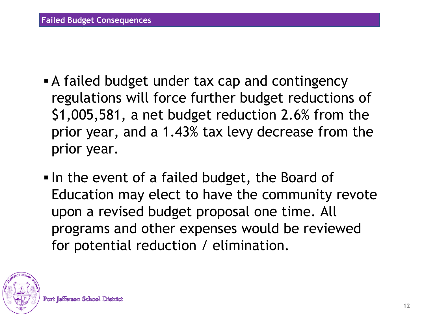- A failed budget under tax cap and contingency regulations will force further budget reductions of \$1,005,581, a net budget reduction 2.6% from the prior year, and a 1.43% tax levy decrease from the prior year.
- In the event of a failed budget, the Board of Education may elect to have the community revote upon a revised budget proposal one time. All programs and other expenses would be reviewed for potential reduction / elimination.